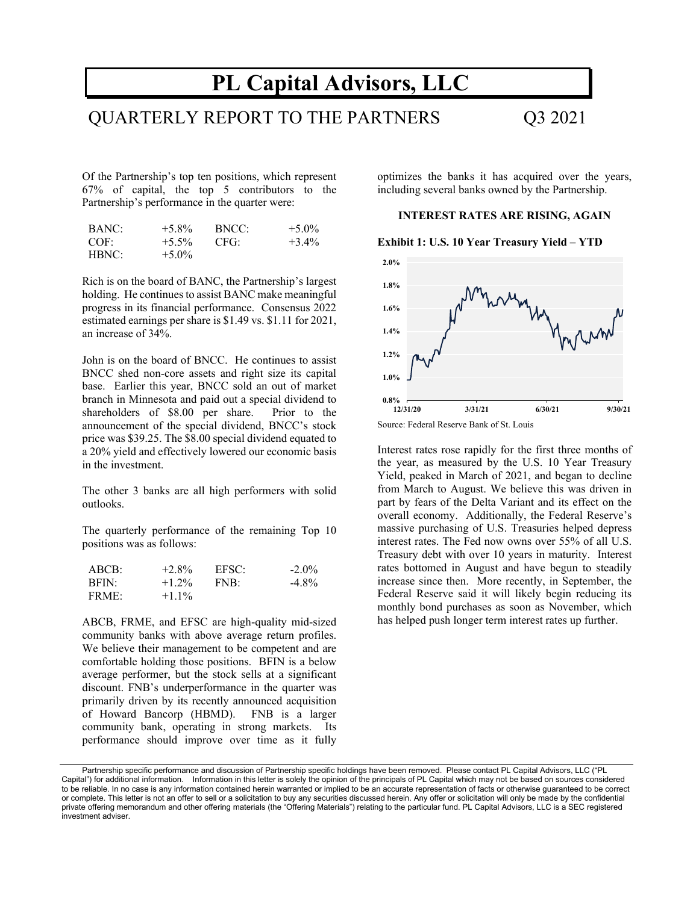# **PL Capital Advisors, LLC**

# QUARTERLY REPORT TO THE PARTNERS Q3 2021

Of the Partnership's top ten positions, which represent 67% of capital, the top 5 contributors to the Partnership's performance in the quarter were:

| BANC: | $+5.8\%$ | BNCC: | $+5.0\%$ |
|-------|----------|-------|----------|
| COF:  | $+5.5\%$ | -CFG: | $+3.4\%$ |
| HBNC: | $+5.0\%$ |       |          |

Rich is on the board of BANC, the Partnership's largest holding. He continues to assist BANC make meaningful progress in its financial performance. Consensus 2022 estimated earnings per share is \$1.49 vs. \$1.11 for 2021, an increase of 34%.

John is on the board of BNCC. He continues to assist BNCC shed non-core assets and right size its capital base. Earlier this year, BNCC sold an out of market branch in Minnesota and paid out a special dividend to shareholders of \$8.00 per share. Prior to the announcement of the special dividend, BNCC's stock price was \$39.25. The \$8.00 special dividend equated to a 20% yield and effectively lowered our economic basis in the investment.

The other 3 banks are all high performers with solid outlooks.

The quarterly performance of the remaining Top 10 positions was as follows:

| ABCB:        | $+2.8\%$ | EFSC: | $-2.0\%$ |
|--------------|----------|-------|----------|
| <b>BFIN:</b> | $+1.2\%$ | FNB:  | $-4.8\%$ |
| FRME:        | $+1.1\%$ |       |          |

ABCB, FRME, and EFSC are high-quality mid-sized community banks with above average return profiles. We believe their management to be competent and are comfortable holding those positions. BFIN is a below average performer, but the stock sells at a significant discount. FNB's underperformance in the quarter was primarily driven by its recently announced acquisition of Howard Bancorp (HBMD). FNB is a larger community bank, operating in strong markets. Its performance should improve over time as it fully

optimizes the banks it has acquired over the years, including several banks owned by the Partnership.

### **INTEREST RATES ARE RISING, AGAIN**

# **Exhibit 1: U.S. 10 Year Treasury Yield – YTD**



Source: Federal Reserve Bank of St. Louis

Interest rates rose rapidly for the first three months of the year, as measured by the U.S. 10 Year Treasury Yield, peaked in March of 2021, and began to decline from March to August. We believe this was driven in part by fears of the Delta Variant and its effect on the overall economy. Additionally, the Federal Reserve's massive purchasing of U.S. Treasuries helped depress interest rates. The Fed now owns over 55% of all U.S. Treasury debt with over 10 years in maturity. Interest rates bottomed in August and have begun to steadily increase since then. More recently, in September, the Federal Reserve said it will likely begin reducing its monthly bond purchases as soon as November, which has helped push longer term interest rates up further.

Partnership specific performance and discussion of Partnership specific holdings have been removed. Please contact PL Capital Advisors, LLC ("PL Capital") for additional information. Information in this letter is solely the opinion of the principals of PL Capital which may not be based on sources considered to be reliable. In no case is any information contained herein warranted or implied to be an accurate representation of facts or otherwise guaranteed to be correct or complete. This letter is not an offer to sell or a solicitation to buy any securities discussed herein. Any offer or solicitation will only be made by the confidential private offering memorandum and other offering materials (the "Offering Materials") relating to the particular fund. PL Capital Advisors, LLC is a SEC registered investment adviser.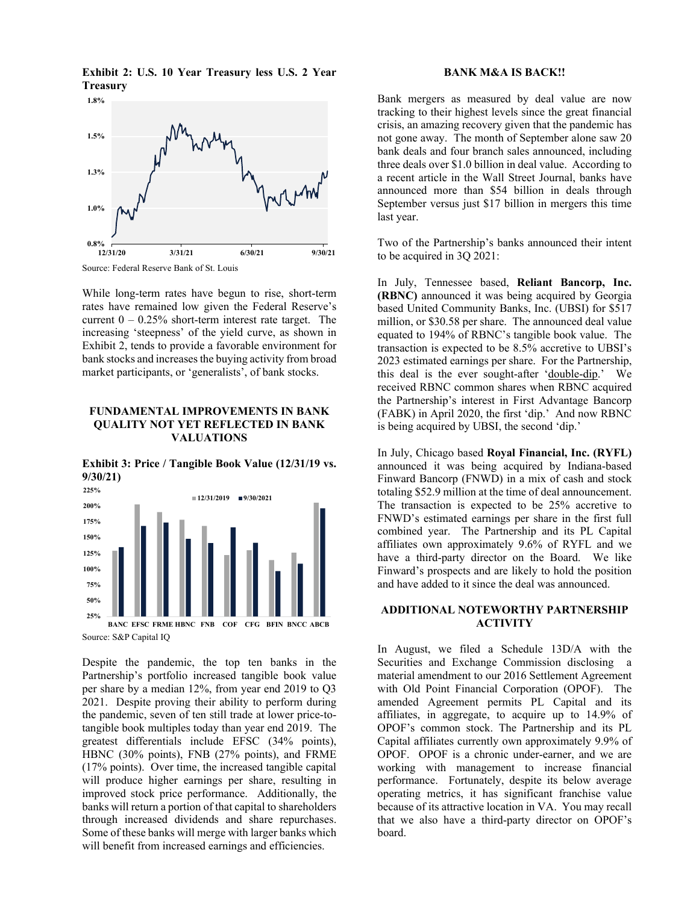

**Exhibit 2: U.S. 10 Year Treasury less U.S. 2 Year Treasury** 

Source: Federal Reserve Bank of St. Louis

While long-term rates have begun to rise, short-term rates have remained low given the Federal Reserve's current  $0 - 0.25\%$  short-term interest rate target. The increasing 'steepness' of the yield curve, as shown in Exhibit 2, tends to provide a favorable environment for bank stocks and increases the buying activity from broad market participants, or 'generalists', of bank stocks.

# **FUNDAMENTAL IMPROVEMENTS IN BANK QUALITY NOT YET REFLECTED IN BANK VALUATIONS**

**Exhibit 3: Price / Tangible Book Value (12/31/19 vs. 9/30/21)** 



Source: S&P Capital IQ

Despite the pandemic, the top ten banks in the Partnership's portfolio increased tangible book value per share by a median 12%, from year end 2019 to Q3 2021. Despite proving their ability to perform during the pandemic, seven of ten still trade at lower price-totangible book multiples today than year end 2019. The greatest differentials include EFSC (34% points), HBNC (30% points), FNB (27% points), and FRME (17% points). Over time, the increased tangible capital will produce higher earnings per share, resulting in improved stock price performance. Additionally, the banks will return a portion of that capital to shareholders through increased dividends and share repurchases. Some of these banks will merge with larger banks which will benefit from increased earnings and efficiencies.

#### **BANK M&A IS BACK!!**

Bank mergers as measured by deal value are now tracking to their highest levels since the great financial crisis, an amazing recovery given that the pandemic has not gone away. The month of September alone saw 20 bank deals and four branch sales announced, including three deals over \$1.0 billion in deal value. According to a recent article in the Wall Street Journal, banks have announced more than \$54 billion in deals through September versus just \$17 billion in mergers this time last year.

Two of the Partnership's banks announced their intent to be acquired in 3Q 2021:

In July, Tennessee based, **Reliant Bancorp, Inc. (RBNC)** announced it was being acquired by Georgia based United Community Banks, Inc. (UBSI) for \$517 million, or \$30.58 per share. The announced deal value equated to 194% of RBNC's tangible book value. The transaction is expected to be 8.5% accretive to UBSI's 2023 estimated earnings per share. For the Partnership, this deal is the ever sought-after 'double-dip.' We received RBNC common shares when RBNC acquired the Partnership's interest in First Advantage Bancorp (FABK) in April 2020, the first 'dip.' And now RBNC is being acquired by UBSI, the second 'dip.'

In July, Chicago based **Royal Financial, Inc. (RYFL)**  announced it was being acquired by Indiana-based Finward Bancorp (FNWD) in a mix of cash and stock totaling \$52.9 million at the time of deal announcement. The transaction is expected to be 25% accretive to FNWD's estimated earnings per share in the first full combined year. The Partnership and its PL Capital affiliates own approximately 9.6% of RYFL and we have a third-party director on the Board. We like Finward's prospects and are likely to hold the position and have added to it since the deal was announced.

## **ADDITIONAL NOTEWORTHY PARTNERSHIP ACTIVITY**

In August, we filed a Schedule 13D/A with the Securities and Exchange Commission disclosing a material amendment to our 2016 Settlement Agreement with Old Point Financial Corporation (OPOF). The amended Agreement permits PL Capital and its affiliates, in aggregate, to acquire up to 14.9% of OPOF's common stock. The Partnership and its PL Capital affiliates currently own approximately 9.9% of OPOF. OPOF is a chronic under-earner, and we are working with management to increase financial performance. Fortunately, despite its below average operating metrics, it has significant franchise value because of its attractive location in VA. You may recall that we also have a third-party director on OPOF's board.